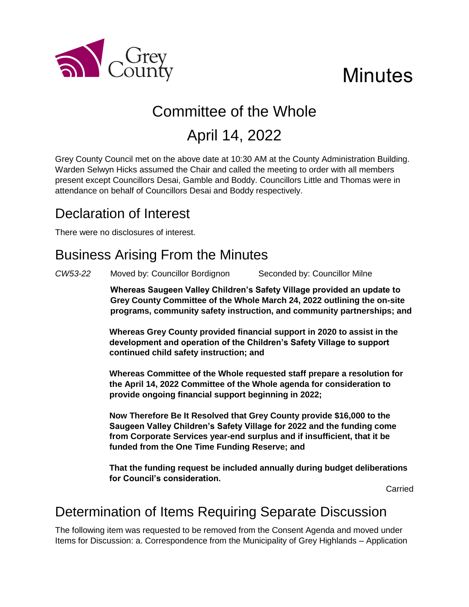

## **Minutes**

# Committee of the Whole

## April 14, 2022

Grey County Council met on the above date at 10:30 AM at the County Administration Building. Warden Selwyn Hicks assumed the Chair and called the meeting to order with all members present except Councillors Desai, Gamble and Boddy. Councillors Little and Thomas were in attendance on behalf of Councillors Desai and Boddy respectively.

### Declaration of Interest

There were no disclosures of interest.

### Business Arising From the Minutes

*CW53-22* Moved by: Councillor Bordignon Seconded by: Councillor Milne

**Whereas Saugeen Valley Children's Safety Village provided an update to Grey County Committee of the Whole March 24, 2022 outlining the on-site programs, community safety instruction, and community partnerships; and**

**Whereas Grey County provided financial support in 2020 to assist in the development and operation of the Children's Safety Village to support continued child safety instruction; and**

**Whereas Committee of the Whole requested staff prepare a resolution for the April 14, 2022 Committee of the Whole agenda for consideration to provide ongoing financial support beginning in 2022;**

**Now Therefore Be It Resolved that Grey County provide \$16,000 to the Saugeen Valley Children's Safety Village for 2022 and the funding come from Corporate Services year-end surplus and if insufficient, that it be funded from the One Time Funding Reserve; and**

**That the funding request be included annually during budget deliberations for Council's consideration.** 

Carried

#### Determination of Items Requiring Separate Discussion

The following item was requested to be removed from the Consent Agenda and moved under Items for Discussion: a. Correspondence from the Municipality of Grey Highlands – Application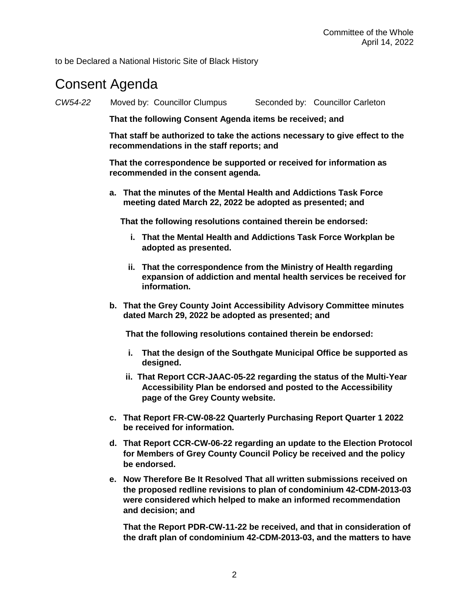to be Declared a National Historic Site of Black History

#### Consent Agenda

*CW54-22* Moved by: Councillor Clumpus Seconded by: Councillor Carleton

**That the following Consent Agenda items be received; and**

**That staff be authorized to take the actions necessary to give effect to the recommendations in the staff reports; and**

**That the correspondence be supported or received for information as recommended in the consent agenda.** 

**a. That the minutes of the Mental Health and Addictions Task Force meeting dated March 22, 2022 be adopted as presented; and**

**That the following resolutions contained therein be endorsed:**

- **i. That the Mental Health and Addictions Task Force Workplan be adopted as presented.**
- **ii. That the correspondence from the Ministry of Health regarding expansion of addiction and mental health services be received for information.**
- **b. That the Grey County Joint Accessibility Advisory Committee minutes dated March 29, 2022 be adopted as presented; and**

**That the following resolutions contained therein be endorsed:**

- **i. That the design of the Southgate Municipal Office be supported as designed.**
- **ii. That Report CCR-JAAC-05-22 regarding the status of the Multi-Year Accessibility Plan be endorsed and posted to the Accessibility page of the Grey County website.**
- **c. That Report FR-CW-08-22 Quarterly Purchasing Report Quarter 1 2022 be received for information.**
- **d. That Report CCR-CW-06-22 regarding an update to the Election Protocol for Members of Grey County Council Policy be received and the policy be endorsed.**
- **e. Now Therefore Be It Resolved That all written submissions received on the proposed redline revisions to plan of condominium 42-CDM-2013-03 were considered which helped to make an informed recommendation and decision; and**

**That the Report PDR-CW-11-22 be received, and that in consideration of the draft plan of condominium 42-CDM-2013-03, and the matters to have**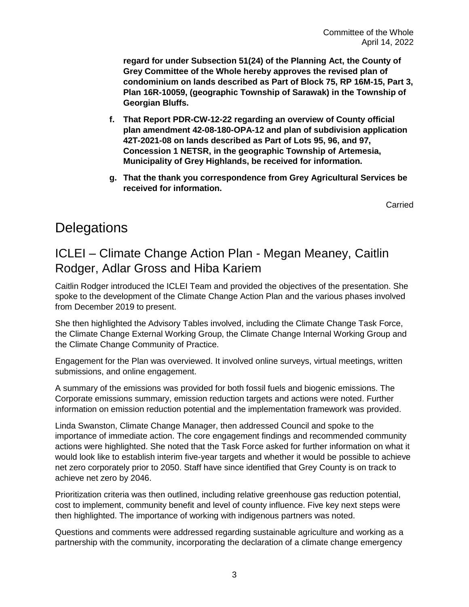**regard for under Subsection 51(24) of the Planning Act, the County of Grey Committee of the Whole hereby approves the revised plan of condominium on lands described as Part of Block 75, RP 16M-15, Part 3, Plan 16R-10059, (geographic Township of Sarawak) in the Township of Georgian Bluffs.**

- **f. That Report PDR-CW-12-22 regarding an overview of County official plan amendment 42-08-180-OPA-12 and plan of subdivision application 42T-2021-08 on lands described as Part of Lots 95, 96, and 97, Concession 1 NETSR, in the geographic Township of Artemesia, Municipality of Grey Highlands, be received for information.**
- **g. That the thank you correspondence from Grey Agricultural Services be received for information.**

Carried

#### **Delegations**

#### ICLEI – Climate Change Action Plan - Megan Meaney, Caitlin Rodger, Adlar Gross and Hiba Kariem

Caitlin Rodger introduced the ICLEI Team and provided the objectives of the presentation. She spoke to the development of the Climate Change Action Plan and the various phases involved from December 2019 to present.

She then highlighted the Advisory Tables involved, including the Climate Change Task Force, the Climate Change External Working Group, the Climate Change Internal Working Group and the Climate Change Community of Practice.

Engagement for the Plan was overviewed. It involved online surveys, virtual meetings, written submissions, and online engagement.

A summary of the emissions was provided for both fossil fuels and biogenic emissions. The Corporate emissions summary, emission reduction targets and actions were noted. Further information on emission reduction potential and the implementation framework was provided.

Linda Swanston, Climate Change Manager, then addressed Council and spoke to the importance of immediate action. The core engagement findings and recommended community actions were highlighted. She noted that the Task Force asked for further information on what it would look like to establish interim five-year targets and whether it would be possible to achieve net zero corporately prior to 2050. Staff have since identified that Grey County is on track to achieve net zero by 2046.

Prioritization criteria was then outlined, including relative greenhouse gas reduction potential, cost to implement, community benefit and level of county influence. Five key next steps were then highlighted. The importance of working with indigenous partners was noted.

Questions and comments were addressed regarding sustainable agriculture and working as a partnership with the community, incorporating the declaration of a climate change emergency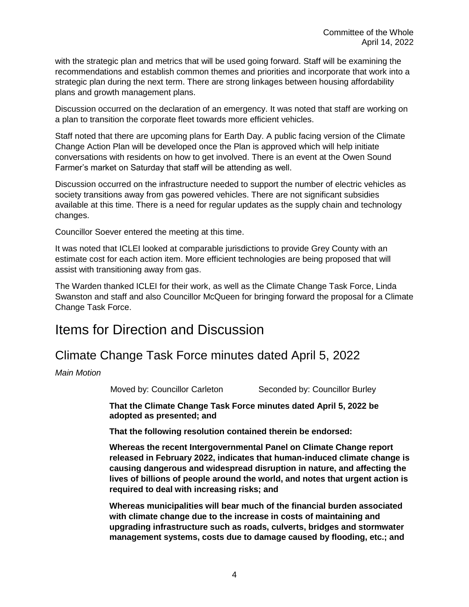with the strategic plan and metrics that will be used going forward. Staff will be examining the recommendations and establish common themes and priorities and incorporate that work into a strategic plan during the next term. There are strong linkages between housing affordability plans and growth management plans.

Discussion occurred on the declaration of an emergency. It was noted that staff are working on a plan to transition the corporate fleet towards more efficient vehicles.

Staff noted that there are upcoming plans for Earth Day. A public facing version of the Climate Change Action Plan will be developed once the Plan is approved which will help initiate conversations with residents on how to get involved. There is an event at the Owen Sound Farmer's market on Saturday that staff will be attending as well.

Discussion occurred on the infrastructure needed to support the number of electric vehicles as society transitions away from gas powered vehicles. There are not significant subsidies available at this time. There is a need for regular updates as the supply chain and technology changes.

Councillor Soever entered the meeting at this time.

It was noted that ICLEI looked at comparable jurisdictions to provide Grey County with an estimate cost for each action item. More efficient technologies are being proposed that will assist with transitioning away from gas.

The Warden thanked ICLEI for their work, as well as the Climate Change Task Force, Linda Swanston and staff and also Councillor McQueen for bringing forward the proposal for a Climate Change Task Force.

#### Items for Direction and Discussion

#### Climate Change Task Force minutes dated April 5, 2022

*Main Motion*

Moved by: Councillor Carleton Seconded by: Councillor Burley

**That the Climate Change Task Force minutes dated April 5, 2022 be adopted as presented; and**

**That the following resolution contained therein be endorsed:**

**Whereas the recent Intergovernmental Panel on Climate Change report released in February 2022, indicates that human-induced climate change is causing dangerous and widespread disruption in nature, and affecting the lives of billions of people around the world, and notes that urgent action is required to deal with increasing risks; and**

**Whereas municipalities will bear much of the financial burden associated with climate change due to the increase in costs of maintaining and upgrading infrastructure such as roads, culverts, bridges and stormwater management systems, costs due to damage caused by flooding, etc.; and**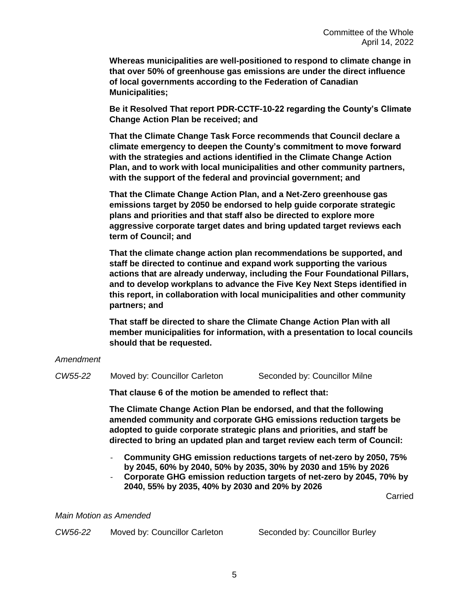**Whereas municipalities are well-positioned to respond to climate change in that over 50% of greenhouse gas emissions are under the direct influence of local governments according to the Federation of Canadian Municipalities;** 

**Be it Resolved That report PDR-CCTF-10-22 regarding the County's Climate Change Action Plan be received; and**

**That the Climate Change Task Force recommends that Council declare a climate emergency to deepen the County's commitment to move forward with the strategies and actions identified in the Climate Change Action Plan, and to work with local municipalities and other community partners, with the support of the federal and provincial government; and** 

**That the Climate Change Action Plan, and a Net-Zero greenhouse gas emissions target by 2050 be endorsed to help guide corporate strategic plans and priorities and that staff also be directed to explore more aggressive corporate target dates and bring updated target reviews each term of Council; and** 

**That the climate change action plan recommendations be supported, and staff be directed to continue and expand work supporting the various actions that are already underway, including the Four Foundational Pillars, and to develop workplans to advance the Five Key Next Steps identified in this report, in collaboration with local municipalities and other community partners; and**

**That staff be directed to share the Climate Change Action Plan with all member municipalities for information, with a presentation to local councils should that be requested.**

#### *Amendment*

*CW55-22* Moved by: Councillor Carleton Seconded by: Councillor Milne

**That clause 6 of the motion be amended to reflect that:**

**The Climate Change Action Plan be endorsed, and that the following amended community and corporate GHG emissions reduction targets be adopted to guide corporate strategic plans and priorities, and staff be directed to bring an updated plan and target review each term of Council:**

- **Community GHG emission reductions targets of net-zero by 2050, 75% by 2045, 60% by 2040, 50% by 2035, 30% by 2030 and 15% by 2026**
- **Corporate GHG emission reduction targets of net-zero by 2045, 70% by 2040, 55% by 2035, 40% by 2030 and 20% by 2026**

Carried

*Main Motion as Amended*

*CW56-22* Moved by: Councillor Carleton Seconded by: Councillor Burley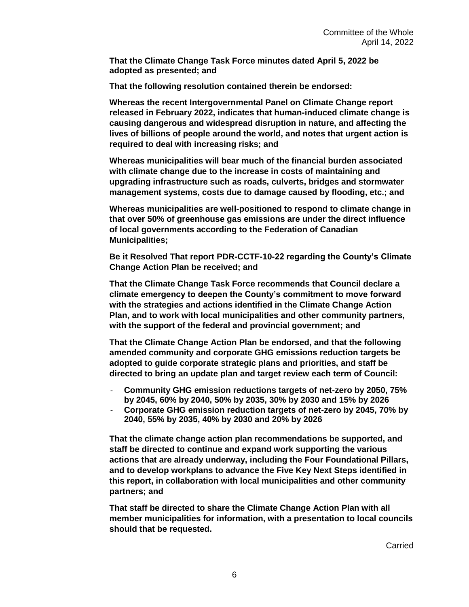**That the Climate Change Task Force minutes dated April 5, 2022 be adopted as presented; and**

**That the following resolution contained therein be endorsed:**

**Whereas the recent Intergovernmental Panel on Climate Change report released in February 2022, indicates that human-induced climate change is causing dangerous and widespread disruption in nature, and affecting the lives of billions of people around the world, and notes that urgent action is required to deal with increasing risks; and**

**Whereas municipalities will bear much of the financial burden associated with climate change due to the increase in costs of maintaining and upgrading infrastructure such as roads, culverts, bridges and stormwater management systems, costs due to damage caused by flooding, etc.; and**

**Whereas municipalities are well-positioned to respond to climate change in that over 50% of greenhouse gas emissions are under the direct influence of local governments according to the Federation of Canadian Municipalities;** 

**Be it Resolved That report PDR-CCTF-10-22 regarding the County's Climate Change Action Plan be received; and**

**That the Climate Change Task Force recommends that Council declare a climate emergency to deepen the County's commitment to move forward with the strategies and actions identified in the Climate Change Action Plan, and to work with local municipalities and other community partners, with the support of the federal and provincial government; and** 

**That the Climate Change Action Plan be endorsed, and that the following amended community and corporate GHG emissions reduction targets be adopted to guide corporate strategic plans and priorities, and staff be directed to bring an update plan and target review each term of Council:**

- **Community GHG emission reductions targets of net-zero by 2050, 75% by 2045, 60% by 2040, 50% by 2035, 30% by 2030 and 15% by 2026**
- **Corporate GHG emission reduction targets of net-zero by 2045, 70% by 2040, 55% by 2035, 40% by 2030 and 20% by 2026**

**That the climate change action plan recommendations be supported, and staff be directed to continue and expand work supporting the various actions that are already underway, including the Four Foundational Pillars, and to develop workplans to advance the Five Key Next Steps identified in this report, in collaboration with local municipalities and other community partners; and**

**That staff be directed to share the Climate Change Action Plan with all member municipalities for information, with a presentation to local councils should that be requested.**

Carried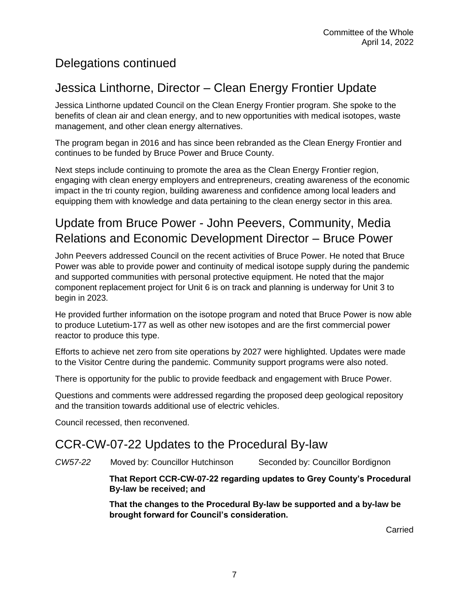#### Delegations continued

#### Jessica Linthorne, Director – Clean Energy Frontier Update

Jessica Linthorne updated Council on the Clean Energy Frontier program. She spoke to the benefits of clean air and clean energy, and to new opportunities with medical isotopes, waste management, and other clean energy alternatives.

The program began in 2016 and has since been rebranded as the Clean Energy Frontier and continues to be funded by Bruce Power and Bruce County.

Next steps include continuing to promote the area as the Clean Energy Frontier region, engaging with clean energy employers and entrepreneurs, creating awareness of the economic impact in the tri county region, building awareness and confidence among local leaders and equipping them with knowledge and data pertaining to the clean energy sector in this area.

#### Update from Bruce Power - John Peevers, Community, Media Relations and Economic Development Director – Bruce Power

John Peevers addressed Council on the recent activities of Bruce Power. He noted that Bruce Power was able to provide power and continuity of medical isotope supply during the pandemic and supported communities with personal protective equipment. He noted that the major component replacement project for Unit 6 is on track and planning is underway for Unit 3 to begin in 2023.

He provided further information on the isotope program and noted that Bruce Power is now able to produce Lutetium-177 as well as other new isotopes and are the first commercial power reactor to produce this type.

Efforts to achieve net zero from site operations by 2027 were highlighted. Updates were made to the Visitor Centre during the pandemic. Community support programs were also noted.

There is opportunity for the public to provide feedback and engagement with Bruce Power.

Questions and comments were addressed regarding the proposed deep geological repository and the transition towards additional use of electric vehicles.

Council recessed, then reconvened.

#### CCR-CW-07-22 Updates to the Procedural By-law

*CW57-22* Moved by: Councillor Hutchinson Seconded by: Councillor Bordignon

**That Report CCR-CW-07-22 regarding updates to Grey County's Procedural By-law be received; and**

**That the changes to the Procedural By-law be supported and a by-law be brought forward for Council's consideration.**

Carried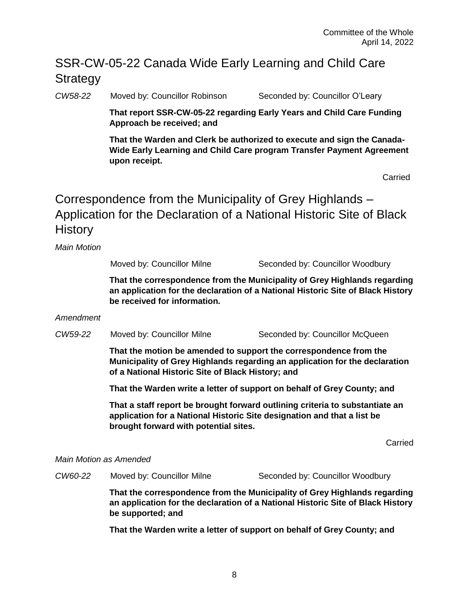#### SSR-CW-05-22 Canada Wide Early Learning and Child Care **Strategy**

*CW58-22* Moved by: Councillor Robinson Seconded by: Councillor O'Leary

**That report SSR-CW-05-22 regarding Early Years and Child Care Funding Approach be received; and**

**That the Warden and Clerk be authorized to execute and sign the Canada-Wide Early Learning and Child Care program Transfer Payment Agreement upon receipt.**

**Carried** 

Correspondence from the Municipality of Grey Highlands – Application for the Declaration of a National Historic Site of Black History

*Main Motion* 

Moved by: Councillor Milne Seconded by: Councillor Woodbury

**That the correspondence from the Municipality of Grey Highlands regarding an application for the declaration of a National Historic Site of Black History be received for information.** 

#### *Amendment*

*CW59-22* Moved by: Councillor Milne Seconded by: Councillor McQueen

**That the motion be amended to support the correspondence from the Municipality of Grey Highlands regarding an application for the declaration of a National Historic Site of Black History; and**

**That the Warden write a letter of support on behalf of Grey County; and**

**That a staff report be brought forward outlining criteria to substantiate an application for a National Historic Site designation and that a list be brought forward with potential sites.** 

Carried

#### *Main Motion as Amended*

*CW60-22* Moved by: Councillor Milne Seconded by: Councillor Woodbury

**That the correspondence from the Municipality of Grey Highlands regarding an application for the declaration of a National Historic Site of Black History be supported; and**

**That the Warden write a letter of support on behalf of Grey County; and**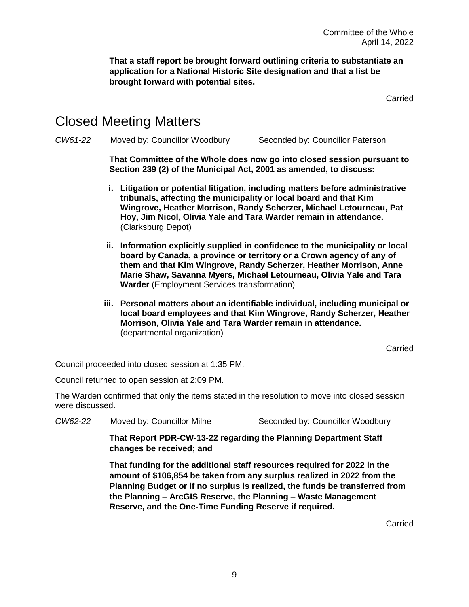**That a staff report be brought forward outlining criteria to substantiate an application for a National Historic Site designation and that a list be brought forward with potential sites.** 

Carried

#### Closed Meeting Matters

*CW61-22* Moved by: Councillor Woodbury Seconded by: Councillor Paterson

**That Committee of the Whole does now go into closed session pursuant to Section 239 (2) of the Municipal Act, 2001 as amended, to discuss:**

- **i. Litigation or potential litigation, including matters before administrative tribunals, affecting the municipality or local board and that Kim Wingrove, Heather Morrison, Randy Scherzer, Michael Letourneau, Pat Hoy, Jim Nicol, Olivia Yale and Tara Warder remain in attendance.**  (Clarksburg Depot)
- **ii. Information explicitly supplied in confidence to the municipality or local board by Canada, a province or territory or a Crown agency of any of them and that Kim Wingrove, Randy Scherzer, Heather Morrison, Anne Marie Shaw, Savanna Myers, Michael Letourneau, Olivia Yale and Tara Warder** (Employment Services transformation)
- **iii. Personal matters about an identifiable individual, including municipal or local board employees and that Kim Wingrove, Randy Scherzer, Heather Morrison, Olivia Yale and Tara Warder remain in attendance.**  (departmental organization)

Carried

Council proceeded into closed session at 1:35 PM.

Council returned to open session at 2:09 PM.

The Warden confirmed that only the items stated in the resolution to move into closed session were discussed.

*CW62-22* Moved by: Councillor Milne Seconded by: Councillor Woodbury

**That Report PDR-CW-13-22 regarding the Planning Department Staff changes be received; and**

**That funding for the additional staff resources required for 2022 in the amount of \$106,854 be taken from any surplus realized in 2022 from the Planning Budget or if no surplus is realized, the funds be transferred from the Planning – ArcGIS Reserve, the Planning – Waste Management Reserve, and the One-Time Funding Reserve if required.** 

Carried